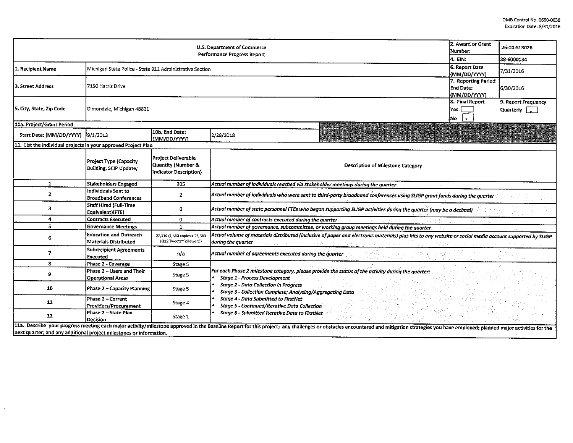| U.S. Department of Commerce<br>Performance Progress Report          |                                                               |                                                                            |                                                                                                                                                                                                                                                                                                                                                                                                           |                                                                                                                                                                                                                                | 2. Award or Grant<br>Number:                     | 26-10-S13026                                |  |  |  |
|---------------------------------------------------------------------|---------------------------------------------------------------|----------------------------------------------------------------------------|-----------------------------------------------------------------------------------------------------------------------------------------------------------------------------------------------------------------------------------------------------------------------------------------------------------------------------------------------------------------------------------------------------------|--------------------------------------------------------------------------------------------------------------------------------------------------------------------------------------------------------------------------------|--------------------------------------------------|---------------------------------------------|--|--|--|
| 4. EIN:                                                             |                                                               |                                                                            |                                                                                                                                                                                                                                                                                                                                                                                                           |                                                                                                                                                                                                                                |                                                  | 38-6000134                                  |  |  |  |
| 1. Recipient Name                                                   | Michigan State Police - State 911 Administrative Section      |                                                                            |                                                                                                                                                                                                                                                                                                                                                                                                           |                                                                                                                                                                                                                                | 6. Report Date<br>(MM/DD/YYYY)                   | 7/31/2016                                   |  |  |  |
| 3. Street Address                                                   | 7150 Harris Drive                                             |                                                                            |                                                                                                                                                                                                                                                                                                                                                                                                           |                                                                                                                                                                                                                                | 7. Reporting Period<br>End Date:<br>(MM/DD/YYYY) | 6/30/2016                                   |  |  |  |
| 5. City, State, Zip Code                                            | Dimondale, Michigan 48821                                     |                                                                            |                                                                                                                                                                                                                                                                                                                                                                                                           |                                                                                                                                                                                                                                | 8. Final Report<br>Yes<br>$\mathbf{x}$<br>No     | 9. Report Frequency<br>Quarterly $\sqrt{a}$ |  |  |  |
| 10a. Project/Grant Period                                           |                                                               |                                                                            |                                                                                                                                                                                                                                                                                                                                                                                                           |                                                                                                                                                                                                                                |                                                  |                                             |  |  |  |
| Start Date: (MM/DD/YYYY) 9/1/2013                                   |                                                               | 10b. End Date:<br>(MM/DD/YYYY)                                             | 2/28/2018                                                                                                                                                                                                                                                                                                                                                                                                 |                                                                                                                                                                                                                                |                                                  |                                             |  |  |  |
| 11. List the individual projects in your approved Project Plan      |                                                               |                                                                            |                                                                                                                                                                                                                                                                                                                                                                                                           |                                                                                                                                                                                                                                |                                                  |                                             |  |  |  |
|                                                                     | Project Type (Capacity<br>Building, SCIP Update,              | Project Deliverable<br>Quantity (Number &<br><b>Indicator Description)</b> |                                                                                                                                                                                                                                                                                                                                                                                                           | <b>Description of Milestone Category</b>                                                                                                                                                                                       |                                                  |                                             |  |  |  |
| $\mathbf{1}$                                                        | <b>Stakeholders Engaged</b>                                   | 305                                                                        | Actual number of individuals reached via stakeholder meetings during the quarter                                                                                                                                                                                                                                                                                                                          |                                                                                                                                                                                                                                |                                                  |                                             |  |  |  |
| $\mathbf{z}$                                                        | Individuals Sent to<br><b>Broadband Conferences</b>           | $\overline{2}$                                                             | . Actual number of individuals who were sent to third-party broadband conferences using SLIGP grant funds during the quarter                                                                                                                                                                                                                                                                              |                                                                                                                                                                                                                                |                                                  |                                             |  |  |  |
| 3                                                                   | <b>Staff Hired (Full-Time</b><br>Equivalent)(FTE)             | 0                                                                          | Actual number of state personnel FTEs who began supporting SLIGP activities during the quarter (may be a decimal)                                                                                                                                                                                                                                                                                         |                                                                                                                                                                                                                                |                                                  |                                             |  |  |  |
| 4                                                                   | <b>Contracts Executed</b>                                     | 0                                                                          | Actual number of contracts executed during the quarter                                                                                                                                                                                                                                                                                                                                                    |                                                                                                                                                                                                                                |                                                  |                                             |  |  |  |
| 5                                                                   | <b>Governance Meetings</b>                                    | 1.                                                                         | Actual number of governance, subcommittee, or working group meetings held during the quarter                                                                                                                                                                                                                                                                                                              |                                                                                                                                                                                                                                |                                                  |                                             |  |  |  |
| 6                                                                   | <b>Education and Outreach</b><br><b>Materials Distributed</b> | 27,110 (1,430 coples + 25,680<br>(Q12 Tweets*Followers))                   | Actual volume of materials distributed (inclusive of paper and electronic materials) plus hits to any website or social media account supported by SLIGP<br>during the quarter                                                                                                                                                                                                                            |                                                                                                                                                                                                                                |                                                  |                                             |  |  |  |
| 7                                                                   | <b>Subrecipient Agreements</b><br>Executed                    | n/a                                                                        | Actual number of agreements executed during the quarter                                                                                                                                                                                                                                                                                                                                                   |                                                                                                                                                                                                                                |                                                  |                                             |  |  |  |
| 8                                                                   | Phase 2 - Coverage                                            | Stage 5                                                                    |                                                                                                                                                                                                                                                                                                                                                                                                           |                                                                                                                                                                                                                                |                                                  |                                             |  |  |  |
| 9                                                                   | Phase 2 - Users and Their<br>Operational Areas                | Stage 5                                                                    | For each Phase 2 milestone category, please provide the status of the activity during the quarter:<br><b>Stage 1 - Process Development</b><br><b>Stage 2 - Data Collection in Progress</b><br>Stage 3 - Collection Complete; Analyzing/Aggregating Data<br>Stage 4 - Data Submitted to FirstNet<br>Stage 5 - Continued/Iterative Data Collection<br><b>Stage 6 - Submitted Iterative Data to FirstNet</b> |                                                                                                                                                                                                                                |                                                  |                                             |  |  |  |
| 10                                                                  | Phase 2 – Capacity Planning                                   | Stage 5                                                                    |                                                                                                                                                                                                                                                                                                                                                                                                           |                                                                                                                                                                                                                                |                                                  |                                             |  |  |  |
| 11                                                                  | Phase 2 – Current<br>Providers/Procurement                    | Stage 4                                                                    |                                                                                                                                                                                                                                                                                                                                                                                                           |                                                                                                                                                                                                                                |                                                  |                                             |  |  |  |
| 12                                                                  | Phase 2 - State Plan<br>Decision                              | Stage 1                                                                    |                                                                                                                                                                                                                                                                                                                                                                                                           |                                                                                                                                                                                                                                |                                                  |                                             |  |  |  |
| next quarter; and any additional project milestones or information. |                                                               |                                                                            |                                                                                                                                                                                                                                                                                                                                                                                                           | 11a. Describe your progress meeting each major activity/milestone approved in the Baseline Report for this project; any challenges or obstacles encountered and mitigation strategies you have employed; planned major activit |                                                  |                                             |  |  |  |

 $\sim 10^{11}$ 

 $\mathcal{L}$ 

 $\sim 10^{-11}$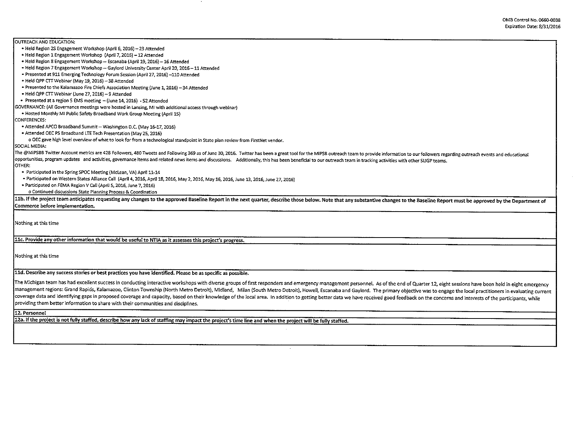OUTREACH AND EDUCATION: • Held Region 2S Engagement Workshop (April 6, 2016) - 23 Attended • Held Region 1 Engagement Workshop (April 7, 2016) - 12 Attended • Held Region 8 Engagement Workshop - Escanaba (April 19, 2015) -16 Attended • Held Region 7 Engagement Workshop - Gaylord Unlversity Center April 20, 2016-11 Attended • Presented at 911 Emerging Technology Forum Session (April 27, 2016)-110 Attended • Held QPP CTT Webinar (May 19, 2016) - 38 Attended • Presented to the Kalamazoo Fire Chiefs Association Meeting (June 1, 2016) - 34 Attended • Held QPP CTTWebinar (June 27, 2016) - 9 Attended • Presented at a region 5 EMS meeting - (June 14, 2016) - 52 Attended GOVERNANCE: (All Governance meetings were hosted in Lansing, MI with additional access through webinar) • Hosted Monthly Ml Public Safety Broadband Work Group Meeting (April 15) CONFERENCES: • Attended APCO Broadband Summit-Washington O.C. (May 16-17, 2016) • Attended DEC PS Broadband LTETech Presentation (May 25, 2015) o OEC gave high level overview of what to look for ftom a technological standpoint in State plan review ftom FirstNet vendor. SOCIAL MEDIA: The @MiPSBB Twitter Account metrics are 428 Followers, 480 Tweets and Following 369 as of June 30, 2016. Twitter has been a great tool for the MiPSB outreach team to provide information to our followers regarding outreach opportunities, program updates and activities, governance items and related news items and discussions. Additionally, this has been beneficial to our outreach team in tracking activities with other SLIGP teams. OTHER: • Participated in the Spring SPOC Meeting (Mclean, VA) Apri! 11-14 • Participated on Western States Amance Call (April 4, 2016, April 18, 2016, May 2, 2016, May 16, 2016, June 13, 2016, June 27, 2015) • Participated on FEMA Region V Call (April 5, 2016, June 7, 2016) o Continued discussions State Planning Process & Coordination 11b. If the project team anticipates requesting any changes to the approved Baseline Report in the next quarter, describe those below. Note that any substantive changes to the Baseline Report must be approved by the Depart Commerce before implementation. Nothing at this time 11c. Provide anv other information that would be useful to NTIA as it assesses this project's progress. Nothing at this time 11d. Describe any success stories or best practices you have identified. Please be as specific as possible. The Michigan team has had excellent success in conducting interactive workshops with diverse groups of first responders and emergency management personnel. As of the end of Quarter 12, eight sessions have been held in eigh management regions: Grand Rapids, Kalamazoo, Clinton Township (North Metro Detroit), Midland, Milan (South Metro Detroit), Howell, Escanaba and Gaylord. The primary objective was to engage the local practitioners in evalua coverage data and identifying gaps in proposed coverage and capacity, based on their knowledge of the local area. In addition to getting better data we have received good feedback on the concerns and interests of the parti providing them better information to share with their communities and disciplines. 12. Personnel 12a. If the project is not fully staffed, describe how any lack of staffing may impact the project's time line and when the project will be fully staffed.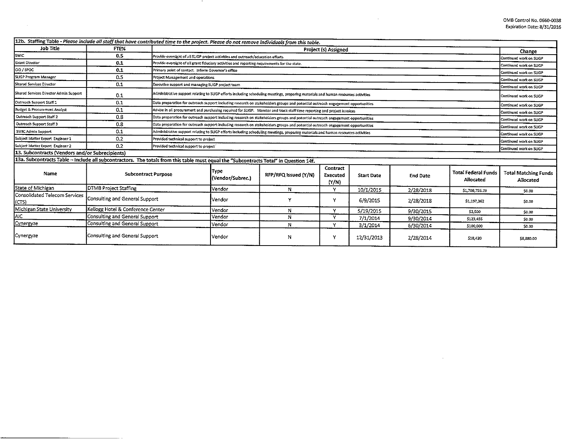| 12b. Staffing Table - Please include all staff that have contributed time to the project. Please do not remove individuals from this table. |                                   |                                       |                                                                                                                                                                                                                                                                                                                                                        |                                                                                                                                    |                               |                   |                 |                                                    |                                          |  |
|---------------------------------------------------------------------------------------------------------------------------------------------|-----------------------------------|---------------------------------------|--------------------------------------------------------------------------------------------------------------------------------------------------------------------------------------------------------------------------------------------------------------------------------------------------------------------------------------------------------|------------------------------------------------------------------------------------------------------------------------------------|-------------------------------|-------------------|-----------------|----------------------------------------------------|------------------------------------------|--|
| <b>Job Title</b>                                                                                                                            | FTE%                              |                                       | Project (s) Assigned                                                                                                                                                                                                                                                                                                                                   |                                                                                                                                    |                               |                   |                 |                                                    |                                          |  |
| <b>SWIC</b>                                                                                                                                 | 0.5                               |                                       | Provide oversight of all SLIGP project activities and outreach/education efforts<br>Continued work on SLIGP                                                                                                                                                                                                                                            |                                                                                                                                    |                               |                   |                 |                                                    |                                          |  |
| <b>Grant Director</b>                                                                                                                       | 0.1                               |                                       | Provide oversight of all grant fiduciary activities and reporting requirements for the state.<br>Continued work on SLIGP                                                                                                                                                                                                                               |                                                                                                                                    |                               |                   |                 |                                                    |                                          |  |
| CIO / SPOC                                                                                                                                  | 0.1                               |                                       | Primary point of contact. Inform Governor's office<br>Continued work on SLIGP                                                                                                                                                                                                                                                                          |                                                                                                                                    |                               |                   |                 |                                                    |                                          |  |
| SLIGP Program Manager                                                                                                                       | 0.5                               | Project Management and operations     | Continued work on SLIGP                                                                                                                                                                                                                                                                                                                                |                                                                                                                                    |                               |                   |                 |                                                    |                                          |  |
| Shared Services Director                                                                                                                    | 0.1                               |                                       | Executive support and managing SLIGP project team<br>Continued work on SLIGP                                                                                                                                                                                                                                                                           |                                                                                                                                    |                               |                   |                 |                                                    |                                          |  |
| Shared Services Director Admin Support                                                                                                      | 0.1                               |                                       |                                                                                                                                                                                                                                                                                                                                                        | Administrative support relating to SLIGP efforts including schoduling meetings, proparing materials and human resources activities |                               |                   |                 |                                                    | Continued work on SLIGP                  |  |
| Outreach Support Staff 1                                                                                                                    | 0.1                               |                                       | Data preparation for outreach support including research on stakeholders groups and potential outreach engagement opportunities<br>Continued work on SLIGP                                                                                                                                                                                             |                                                                                                                                    |                               |                   |                 |                                                    | Continued work on SLIGP                  |  |
| <b>Budget &amp; Procurement Analyst</b>                                                                                                     | 0.1                               |                                       | Advise in all procurement and purchasing required for SLIGP. Monitor and track staff time reporting and project invoices                                                                                                                                                                                                                               |                                                                                                                                    |                               |                   |                 |                                                    |                                          |  |
| Outreach Support Staff 2                                                                                                                    | 0.8                               |                                       | Data preparation for outreach support including research on stakeholders groups and potential outreach engagement opportunities                                                                                                                                                                                                                        |                                                                                                                                    |                               |                   |                 |                                                    |                                          |  |
| Outreach Support Staff 3                                                                                                                    | 0.8                               |                                       | Continued work on SLIGP<br>Data preparation for outreach support including research on stakeholders groups and potential outreach engagement opportunities<br>Continued work on SLIGP<br>Administrative support relating to SLIGP efforts including scheduling meetings, preparing materials and human resources activities<br>Continued work on SLIGP |                                                                                                                                    |                               |                   |                 |                                                    |                                          |  |
| SWIC Admin Support                                                                                                                          | 0.1                               |                                       |                                                                                                                                                                                                                                                                                                                                                        |                                                                                                                                    |                               |                   |                 |                                                    |                                          |  |
| Subject Matter Expert Engineer 1                                                                                                            | 0.2                               |                                       | Provided technical support to project                                                                                                                                                                                                                                                                                                                  |                                                                                                                                    |                               |                   |                 |                                                    |                                          |  |
| Subject Matter Expert Engineer 2                                                                                                            | 0.2                               | Provided technical support to project |                                                                                                                                                                                                                                                                                                                                                        |                                                                                                                                    |                               |                   |                 | Continued work on SLIGP<br>Continued work on SLIGP |                                          |  |
| 13. Subcontracts (Vendors and/or Subrecipients)                                                                                             |                                   |                                       |                                                                                                                                                                                                                                                                                                                                                        |                                                                                                                                    |                               |                   |                 |                                                    |                                          |  |
| 13a. Subcontracts Table – Include all subcontractors. The totals from this table must equal the "Subcontracts Total" in Question 14f.       |                                   |                                       |                                                                                                                                                                                                                                                                                                                                                        |                                                                                                                                    |                               |                   |                 |                                                    |                                          |  |
| Name                                                                                                                                        | <b>Subcontract Purpose</b>        |                                       | Type<br>(Vendor/Subrec.)                                                                                                                                                                                                                                                                                                                               | RFP/RFQ Issued (Y/N)                                                                                                               | Contract<br>Executed<br>(Y/N) | <b>Start Date</b> | <b>End Date</b> | <b>Total Federal Funds</b><br>Allocated            | <b>Total Matching Funds</b><br>Allocated |  |
| State of Michigan                                                                                                                           | DTMB Project Staffing             |                                       | Vendor                                                                                                                                                                                                                                                                                                                                                 | Ν                                                                                                                                  | Y                             | 10/1/2015         | 2/28/2018       | \$1,708,755.23                                     | \$0.00                                   |  |
| Consolidated Telecom Services<br>(CTS)                                                                                                      | Consulting and General Support    |                                       | Vendor                                                                                                                                                                                                                                                                                                                                                 |                                                                                                                                    | Y                             | 6/9/2015          | 2/28/2018       | \$1,197,362                                        | \$0.00                                   |  |
| Michigan State University                                                                                                                   | Kellogg Hotel & Conference Center |                                       | Vendor                                                                                                                                                                                                                                                                                                                                                 | N                                                                                                                                  | $\mathbf v$                   | 5/19/2015         | 9/30/2015       | \$2,500                                            | \$0.00                                   |  |
| AIC                                                                                                                                         | Consulting and General Support    |                                       | Vendor                                                                                                                                                                                                                                                                                                                                                 | N                                                                                                                                  | $\mathbf{v}$                  | 7/1/2014          | 9/30/2014       | 5123,455                                           | \$0.00                                   |  |
| Cynergyze                                                                                                                                   | Consulting and General Support    |                                       | Vendor                                                                                                                                                                                                                                                                                                                                                 | N                                                                                                                                  | $\checkmark$                  | 3/1/2014          | 6/30/2014       | \$100,000                                          | \$0.00                                   |  |
| Cynergyze                                                                                                                                   | Consulting and General Support    |                                       | Vendor                                                                                                                                                                                                                                                                                                                                                 | N                                                                                                                                  | Y                             | 12/31/2013        | 2/28/2014       | \$18,420                                           | \$8,880.00                               |  |

 $\sim 10^{-1}$ 

 $\sim$ 

 $\overline{\phantom{a}}$ 

 $\sim$